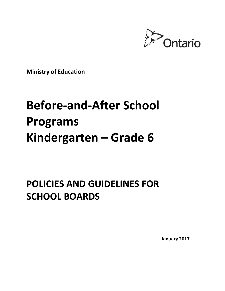

**Ministry of Education**

# **Before-and-After School Programs Kindergarten – Grade 6**

## **POLICIES AND GUIDELINES FOR SCHOOL BOARDS**

**January 2017**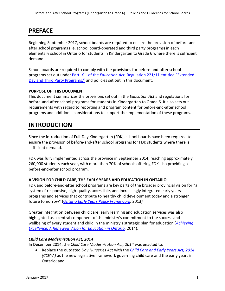### **PREFACE**

Beginning September 2017, school boards are required to ensure the provision of before-andafter school programs (i.e. school board-operated and third party programs) in each elementary school in Ontario for students in Kindergarten to Grade 6 where there is sufficient demand.

School boards are required to comply with the provisions for before-and-after school programs set out under [Part IX.1 of the](https://www.ontario.ca/laws/statute/90e02#BK410) *Education Act*, [Regulation 221/11 entitled "Extended](https://www.ontario.ca/laws/regulation/110221)  [Day and Third Party Programs,"](https://www.ontario.ca/laws/regulation/110221) and policies set out in this document.

### **PURPOSE OF THIS DOCUMENT**

This document summarizes the provisions set out in the *Education Act* and regulations for before-and-after school programs for students in Kindergarten to Grade 6. It also sets out requirements with regard to reporting and program content for before-and-after school programs and additional considerations to support the implementation of these programs.

### **INTRODUCTION**

Since the introduction of Full-Day Kindergarten (FDK), school boards have been required to ensure the provision of before-and-after school programs for FDK students where there is sufficient demand.

FDK was fully implemented across the province in September 2014, reaching approximately 260,000 students each year, with more than 70% of schools offering FDK also providing a before-and-after school program.

### **A VISION FOR CHILD CARE, THE EARLY YEARS AND EDUCATION IN ONTARIO**

FDK and before-and-after school programs are key parts of the broader provincial vision for "a system of responsive, high-quality, accessible, and increasingly integrated early years programs and services that contribute to healthy child development today and a stronger future tomorrow" (*[Ontario Early Years Policy Framework,](http://www.edu.gov.on.ca/childcare/OntarioEarlyYear.pdf)* 2013*).*

Greater integration between child care, early learning and education services was also highlighted as a central component of the ministry's commitment to the success and wellbeing of every student and child in the ministry's strategic plan for education (*[Achieving](http://www.edu.gov.on.ca/eng/about/renewedVision.pdf)  [Excellence: A Renewed Vision for Education in Ontario,](http://www.edu.gov.on.ca/eng/about/renewedVision.pdf)* 2014).

### *Child Care Modernization Act, 2014*

In December 2014, the *Child Care Modernization Act, 2014* was enacted to:

 Replace the outdated *Day Nurseries Act* with the *[Child Care and Early Years Act, 2014](https://www.ontario.ca/laws/statute/14c11) (CCEYA)* as the new legislative framework governing child care and the early years in Ontario; and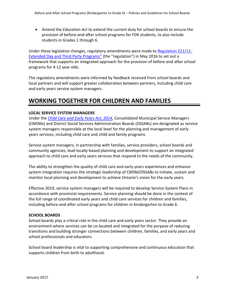Amend the *Education Act* to extend the current duty for school boards to ensure the provision of before-and-after school programs for FDK students, to also include students in Grades 1 through 6.

Under these legislative changes, regulatory amendments were made t[o Regulation 221/11:](https://www.ontario.ca/laws/regulation/110221)  Extended Day [and Third Party Programs"](https://www.ontario.ca/laws/regulation/110221) (the "regulation") in May 2016 to set out a framework that supports an integrated approach for the provision of before-and-after school programs for 4-12 year olds.

The regulatory amendments were informed by feedback received from school boards and local partners and will support greater collaboration between partners, including child care and early years service system managers.

### **WORKING TOGETHER FOR CHILDREN AND FAMILIES**

### **LOCAL SERVICE SYSTEM MANAGERS**

Under the *[Child Care and Early Years Act, 2014,](https://www.ontario.ca/laws/statute/14c11)* Consolidated Municipal Service Managers (CMSMs) and District Social Services Administration Boards (DSSABs) are designated as service system managers responsible at the local level for the planning and management of early years services, including child care and child and family programs.

Service system managers, in partnership with families, service providers, school boards and community agencies, lead locally-based planning and development to support an integrated approach to child care and early years services that respond to the needs of the community.

The ability to strengthen the quality of child care and early years experiences and enhance system integration requires the strategic leadership of CMSM/DSSABs to initiate, sustain and monitor local planning and development to achieve Ontario's vision for the early years.

Effective 2019, service system managers will be required to develop Service System Plans in accordance with provincial requirements. Service planning should be done in the context of the full range of coordinated early years and child care services for children and families, including before-and-after school programs for children in Kindergarten to Grade 6.

### **SCHOOL BOARDS**

School boards play a critical role in the child care and early years sector. They provide an environment where services can be co-located and integrated for the purpose of reducing transitions and building stronger connections between children, families, and early years and school professionals and educators.

School board leadership is vital to supporting comprehensive and continuous education that supports children from birth to adulthood.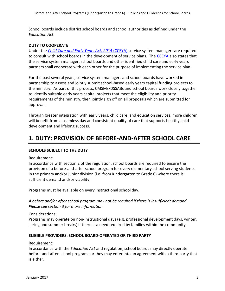School boards include district school boards and school authorities as defined under the *Education Act*.

### **DUTY TO COOPERATE**

Under the *[Child Care and Early Years Act, 2014](https://www.ontario.ca/laws/statute/14c11)* (CCEYA) service system managers are required to consult with school boards in the development of service plans. The [CCEYA](https://www.ontario.ca/laws/statute/14c11) also states that the service system manager, school boards and other identified child care and early years partners shall cooperate with each other for the purpose of implementing the service plan.

For the past several years, service system managers and school boards have worked in partnership to assess and jointly submit school-based early years capital funding projects to the ministry. As part of this process, CMSMs/DSSABs and school boards work closely together to identify suitable early years capital projects that meet the eligibility and priority requirements of the ministry, then jointly sign off on all proposals which are submitted for approval.

Through greater integration with early years, child care, and education services, more children will benefit from a seamless day and consistent quality of care that supports healthy child development and lifelong success.

### **1. DUTY: PROVISION OF BEFORE-AND-AFTER SCHOOL CARE**

### **SCHOOLS SUBJECT TO THE DUTY**

#### Requirement:

In accordance with section 2 of the regulation, school boards are required to ensure the provision of a before-and-after school program for every elementary school serving students in the primary and/or junior division (i.e. from Kindergarten to Grade 6) where there is sufficient demand and/or viability.

Programs must be available on every instructional school day.

*A before and/or after school program may not be required if there is insufficient demand. Please see section 3 for more information*.

#### Considerations:

Programs may operate on non-instructional days (e.g. professional development days, winter, spring and summer breaks) if there is a need required by families within the community.

### **ELIGIBLE PROVIDERS: SCHOOL BOARD-OPERATED OR THIRD PARTY**

#### Requirement:

In accordance with the *Education Act* and regulation, school boards may directly operate before-and-after school programs or they may enter into an agreement with a third party that is either: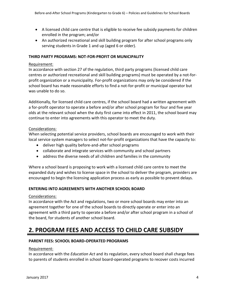- A licensed child care centre that is eligible to receive fee subsidy payments for children enrolled in the program; and/or
- An authorized recreational and skill building program for after school programs only serving students in Grade 1 and up (aged 6 or older).

### **THIRD PARTY PROGRAMS: NOT-FOR-PROFIT OR MUNICIPALITY**

### Requirement:

In accordance with section 27 of the regulation, third party programs (licensed child care centres or authorized recreational and skill building programs) must be operated by a not-forprofit organization or a municipality. For-profit organizations may only be considered if the school board has made reasonable efforts to find a not-for-profit or municipal operator but was unable to do so.

Additionally, for licensed child care centres, if the school board had a written agreement with a for-profit operator to operate a before and/or after school program for four and five year olds at the relevant school when the duty first came into effect in 2011, the school board may continue to enter into agreements with this operator to meet the duty.

### Considerations:

When selecting potential service providers, school boards are encouraged to work with their local service system managers to select not-for-profit organizations that have the capacity to:

- deliver high quality before-and-after school programs
- collaborate and integrate services with community and school partners
- address the diverse needs of all children and families in the community

Where a school board is proposing to work with a licensed child care centre to meet the expanded duty and wishes to license space in the school to deliver the program, providers are encouraged to begin the licensing application process as early as possible to prevent delays.

### **ENTERING INTO AGREEMENTS WITH ANOTHER SCHOOL BOARD**

### Considerations:

In accordance with the Act and regulations, two or more school boards may enter into an agreement together for one of the school boards to directly operate or enter into an agreement with a third party to operate a before and/or after school program in a school of the board, for students of another school board.

### **2. PROGRAM FEES AND ACCESS TO CHILD CARE SUBSIDY**

### **PARENT FEES: SCHOOL BOARD-OPERATED PROGRAMS**

### Requirement:

In accordance with the *Education Act* and its regulation, every school board shall charge fees to parents of students enrolled in school board-operated programs to recover costs incurred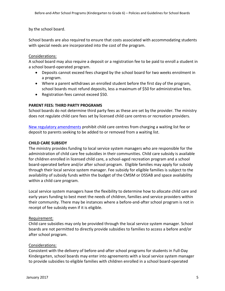by the school board.

School boards are also required to ensure that costs associated with accommodating students with special needs are incorporated into the cost of the program.

### Considerations:

A school board may also require a deposit or a registration fee to be paid to enroll a student in a school board-operated program.

- Deposits cannot exceed fees charged by the school board for two weeks enrolment in a program.
- Where a parent withdraws an enrolled student before the first day of the program, school boards must refund deposits, less a maximum of \$50 for administrative fees.
- Registration fees cannot exceed \$50.

### **PARENT FEES: THIRD PARTY PROGRAMS**

School boards do not determine third party fees as these are set by the provider. The ministry does not regulate child care fees set by licensed child care centres or recreation providers.

[New regulatory amendments](https://www.ontario.ca/laws/regulation/150137#BK97) prohibit child care centres from charging a waiting list fee or deposit to parents seeking to be added to or removed from a waiting list.

### **CHILD CARE SUBSIDY**

The ministry provides funding to local service system managers who are responsible for the administration of child care fee subsidies in their communities. Child care subsidy is available for children enrolled in licensed child care, a school-aged recreation program and a school board-operated before and/or after school program. Eligible families may apply for subsidy through their local service system manager. Fee subsidy for eligible families is subject to the availability of subsidy funds within the budget of the CMSM or DSSAB and space availability within a child care program.

Local service system managers have the flexibility to determine how to allocate child care and early years funding to best meet the needs of children, families and service providers within their community. There may be instances where a before-and-after school program is not in receipt of fee subsidy even if it is eligible.

### Requirement:

Child care subsidies may only be provided through the local service system manager. School boards are not permitted to directly provide subsidies to families to access a before and/or after school program.

### Considerations:

Consistent with the delivery of before-and-after school programs for students in Full-Day Kindergarten, school boards may enter into agreements with a local service system manager to provide subsidies to eligible families with children enrolled in a school board-operated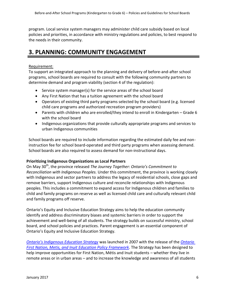program. Local service system managers may administer child care subsidy based on local policies and priorities, in accordance with ministry regulations and policies, to best respond to the needs in their community.

### **3. PLANNING: COMMUNITY ENGAGEMENT**

### Requirement:

To support an integrated approach to the planning and delivery of before-and-after school programs, school boards are required to consult with the following community partners to determine demand and program viability (section 4 of the regulation):

- Service system manager(s) for the service areas of the school board
- Any First Nation that has a tuition agreement with the school board
- Operators of existing third party programs selected by the school board (e.g. licensed child care programs and authorized recreation program providers)
- Parents with children who are enrolled/they intend to enroll in Kindergarten Grade 6 with the school board
- Indigenous organizations that provide culturally appropriate programs and services to urban Indigenous communities

School boards are required to include information regarding the estimated daily fee and noninstruction fee for school board-operated and third party programs when assessing demand. School boards are also required to assess demand for non-instructional days.

### **Prioritizing Indigenous Organizations as Local Partners**

On May 30th, the province released *The Journey Together: Ontario's Commitment to Reconciliation with Indigenous Peoples.* Under this commitment, the province is working closely with Indigenous and sector partners to address the legacy of residential schools, close gaps and remove barriers, support Indigenous culture and reconcile relationships with Indigenous peoples. This includes a commitment to expand access for Indigenous children and families to child and family programs on reserve as well as licensed child care and culturally relevant child and family programs off reserve.

Ontario's Equity and Inclusive Education Strategy aims to help the education community identify and address discriminatory biases and systemic barriers in order to support the achievement and well-being of all students. The strategy builds on successful ministry, school board, and school policies and practices. Parent engagement is an essential component of Ontario's Equity and Inclusive Education Strategy.

*[Ontario's Indigenous Education Strategy](http://www.edu.gov.on.ca/eng/aboriginal/)* was launched in 2007 with the release of the *[Ontario](http://www.edu.gov.on.ca/eng/aboriginal/policy.html)  [First Nation, Metis, and Inuit Education Policy Framework](http://www.edu.gov.on.ca/eng/aboriginal/policy.html)*. The Strategy has been designed to help improve opportunities for First Nation, Métis and Inuit students – whether they live in remote areas or in urban areas – and to increase the knowledge and awareness of all students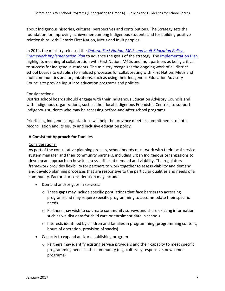about Indigenous histories, cultures, perspectives and contributions. The Strategy sets the foundation for improving achievement among Indigenous students and for building positive relationships with Ontario First Nation, Métis and Inuit peoples.

In 2014, the ministry released the *[Ontario First Nation, Métis and Inuit Education Policy](http://www.edu.gov.on.ca/eng/aboriginal/OFNImplementationPlan.pdf)  [Framework Implementation Plan](http://www.edu.gov.on.ca/eng/aboriginal/OFNImplementationPlan.pdf)* to advance the goals of the strategy. The [Implementation Plan](http://www.edu.gov.on.ca/eng/aboriginal/OFNImplementationPlan.pdf) highlights meaningful collaboration with First Nation, Métis and Inuit partners as being critical to success for Indigenous students. The ministry recognizes the ongoing work of all district school boards to establish formalized processes for collaborating with First Nation, Métis and Inuit communities and organizations, such as using their Indigenous Education Advisory Councils to provide input into education programs and policies.

### Considerations:

District school boards should engage with their Indigenous Education Advisory Councils and with Indigenous organizations, such as their local Indigenous Friendship Centres, to support Indigenous students who may be accessing before-and-after school programs.

Prioritizing Indigenous organizations will help the province meet its commitments to both reconciliation and its equity and inclusive education policy.

### **A Consistent Approach for Families**

### Considerations:

As part of the consultative planning process, school boards must work with their local service system manager and their community partners, including urban Indigenous organizations to develop an approach on how to assess sufficient demand and viability. The regulatory framework provides flexibility for partners to work together to assess viability and demand and develop planning processes that are responsive to the particular qualities and needs of a community. Factors for consideration may include:

- Demand and/or gaps in services:
	- $\circ$  These gaps may include specific populations that face barriers to accessing programs and may require specific programming to accommodate their specific needs
	- o Partners may wish to co-create community surveys and share existing information such as waitlist data for child care or enrolment data in schools
	- $\circ$  Interests identified by children and families in programming (programming content, hours of operation, provision of snacks)
- Capacity to expand and/or establishing program
	- o Partners may identify existing service providers and their capacity to meet specific programming needs in the community (e.g. culturally responsive, newcomer programs)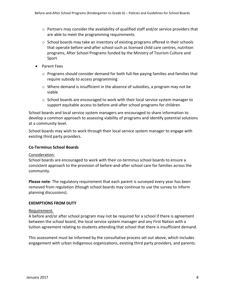- $\circ$  Partners may consider the availability of qualified staff and/or service providers that are able to meet the programming requirements
- o School boards may take an inventory of existing programs offered in their schools that operate before-and-after school such as licensed child care centres, nutrition programs, After School Programs funded by the Ministry of Tourism Culture and Sport
- Parent Fees
	- $\circ$  Programs should consider demand for both full-fee paying families and families that require subsidy to access programming
	- o Where demand is insufficient in the absence of subsidies, a program may not be viable
	- $\circ$  School boards are encouraged to work with their local service system manager to support equitable access to before-and-after school programs for children

School boards and local service system managers are encouraged to share information to develop a common approach to assessing viability of programs and identify potential solutions at a community level.

School boards may wish to work through their local service system manager to engage with existing third party providers.

### **Co-Terminus School Boards**

### Consideration:

School boards are encouraged to work with their co-terminus school boards to ensure a consistent approach to the provision of before-and-after school care for families across the community.

**Please note**: The regulatory requirement that each parent is surveyed every year has been removed from regulation (though school boards may continue to use the survey to inform planning discussions).

### **EXEMPTIONS FROM DUTY**

#### Requirement:

A before and/or after school program may not be required for a school if there is agreement between the school board, the local service system manager and any First Nation with a tuition agreement relating to students attending that school that there is insufficient demand.

This assessment must be informed by the consultative process set out above, which includes engagement with urban Indigenous organizations, existing third party providers, and parents.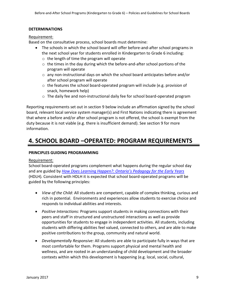### **DETERMINATIONS**

#### Requirement:

Based on the consultative process, school boards must determine:

- The schools in which the school board will offer before-and-after school programs in the next school year for students enrolled in Kindergarten to Grade 6 including:
	- o the length of time the program will operate
	- $\circ$  the times in the day during which the before-and-after school portions of the program will operate
	- $\circ$  any non-instructional days on which the school board anticipates before and/or after school program will operate
	- $\circ$  the features the school board-operated program will include (e.g. provision of snack, homework help)
	- $\circ$  The daily fee and non-instructional daily fee for school board-operated program

Reporting requirements set out in section 9 below include an affirmation signed by the school board, relevant local service system manager(s) and First Nations indicating there is agreement that where a before and/or after school program is not offered, the school is exempt from the duty because it is not viable (e.g. there is insufficient demand). See section 9 for more information.

### **4. SCHOOL BOARD –OPERATED: PROGRAM REQUIREMENTS**

### **PRINCIPLES GUIDING PROGRAMMING**

### Requirement:

School board-operated programs complement what happens during the regular school day and are guided by *[How Does Learning Happen?: Ontario](http://www.edu.gov.on.ca/childcare/pedagogy.html)'s Pedagogy for the Early Years* (HDLH)*.* Consistent with HDLH it is expected that school board-operated programs will be guided by the following principles:

- *View of the Child:* All students are competent, capable of complex thinking, curious and rich in potential. Environments and experiences allow students to exercise choice and responds to individual abilities and interests.
- *Positive Interactions:* Programs support students in making connections with their peers and staff in structured and unstructured interactions as well as provide opportunities for students to engage in independent activities. All students, including students with differing abilities feel valued, connected to others, and are able to make positive contributions to the group, community and natural world.
- *Developmentally Responsive:* All students are able to participate fully in ways that are most comfortable for them. Programs support physical and mental health and wellness, and are rooted in an understanding of child development and the broader contexts within which this development is happening (e.g. local, social, cultural,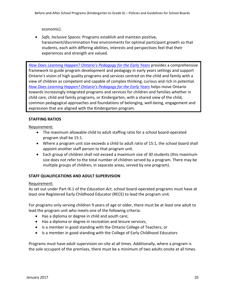economic).

 *Safe, Inclusive Spaces:* Programs establish and maintain positive, harassment/discrimination free environments for optimal participant growth so that students, each with differing abilities, interests and perspectives feel that their experiences and strength are valued.

*How Does Learning Happen? [Ontario's Pedagogy for the Early Years](http://www.edu.gov.on.ca/childcare/pedagogy.html)* provides a comprehensive framework to guide program development and pedagogy in early years settings and support Ontario's vision of high quality programs and services centred on the child and family with a view of children as competent and capable of complex thinking, curious and rich in potential. *[How Does Learning Happen? Ontario's Pedagogy for the Early Years](http://www.edu.gov.on.ca/childcare/pedagogy.html)* helps move Ontario towards increasingly integrated programs and services for children and families whether in child care, child and family programs, or Kindergarten, with a shared view of the child, common pedagogical approaches and foundations of belonging, well-being, engagement and expression that are aligned with the Kindergarten program.

### **STAFFING RATIOS**

Requirement:

- The maximum allowable child to adult staffing ratio for a school board-operated program shall be 15:1.
- Where a program unit size exceeds a child to adult ratio of 15:1, the school board shall appoint another staff person to that program unit.
- Each group of children shall not exceed a maximum size of 30 students (this maximum size does not refer to the total number of children served by a program. There may be multiple groups of children, in separate areas, served by one program).

### **STAFF QUALIFICATIONS AND ADULT SUPERVISION**

### Requirement:

As set out under Part IX.1 of the *Education Act*, school board-operated programs must have at least one Registered Early Childhood Educator (RECE) to lead the program unit.

For programs only serving children 9 years of age or older, there must be at least one adult to lead the program unit who meets one of the following criteria:

- Has a diploma or degree in child and youth care;
- Has a diploma or degree in recreation and leisure services;
- Is a member in good standing with the Ontario College of Teachers; or
- Is a member in good standing with the College of Early Childhood Educators

Programs must have adult supervision on-site at all times. Additionally, where a program is the sole occupant of the premises, there must be a minimum of two adults onsite at all times.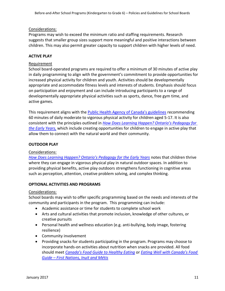### Considerations:

Programs may wish to exceed the minimum ratio and staffing requirements. Research suggests that smaller group sizes support more meaningful and positive interactions between children. This may also permit greater capacity to support children with higher levels of need.

### **ACTIVE PLAY**

### Requirement

School board-operated programs are required to offer a minimum of 30 minutes of active play in daily programming to align with the government's commitment to provide opportunities for increased physical activity for children and youth. Activities should be developmentally appropriate and accommodate fitness levels and interests of students. Emphasis should focus on participation and enjoyment and can include introducing participants to a range of developmentally appropriate physical activities such as sports, dance, free gym time, and active games.

This requirement aligns with the [Public Health Agency of Canada's guidelines](http://www.phac-aspc.gc.ca/hp-ps/hl-mvs/pa-ap/03paap-eng.php) recommending 60 minutes of daily moderate to vigorous physical activity for children aged 5-17. It is also consistent with the principles outlined in *How Does Learning Happe[n? Ontario's Pedagogy for](How%20Does%20Learning%20Happen?%20Ontario’s%20Pedagogy%20for%20the%20Early%20Years)  [the Early Years,](How%20Does%20Learning%20Happen?%20Ontario’s%20Pedagogy%20for%20the%20Early%20Years)* which include creating opportunities for children to engage in active play that allow them to connect with the natural world and their community.

### **OUTDOOR PLAY**

### Considerations:

*[How Does Learning Happen? Ontario's Pedagogy for the Early Years](How%20Does%20Learning%20Happen?%20Ontario’s%20Pedagogy%20for%20the%20Early%20Years)* notes that children thrive where they can engage in vigorous physical play in natural outdoor spaces. In addition to providing physical benefits, active play outdoors strengthens functioning in cognitive areas such as perception, attention, creative problem solving, and complex thinking.

### **OPTIONAL ACTIVITIES AND PROGRAMS**

#### Considerations:

School boards may wish to offer specific programming based on the needs and interests of the community and participants in the program. This programming can include:

- Academic assistance or time for students to complete school work
- Arts and cultural activities that promote inclusion, knowledge of other cultures, or creative pursuits
- Personal health and wellness education (e.g. anti-bullying, body image, fostering resilience)
- Community involvement
- Providing snacks for students participating in the program. Programs may choose to incorporate hands-on activities about nutrition when snacks are provided. All food should meet *[Canada's Food Guide to Healthy Eating](http://www.hc-sc.gc.ca/fn-an/food-guide-aliment/index-eng.php)* or *[Eating Well with Canada's Food](http://www.hc-sc.gc.ca/fn-an/pubs/fnim-pnim/index-eng.php)  Guide – [First Nations, Inuit and Métis](http://www.hc-sc.gc.ca/fn-an/pubs/fnim-pnim/index-eng.php)*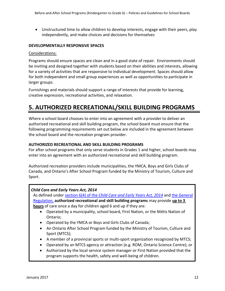Unstructured time to allow children to develop interests, engage with their peers, play independently, and make choices and decisions for themselves

### **DEVELOPMENTALLY RESPONSIVE SPACES**

### Considerations:

Programs should ensure spaces are clean and in a good state of repair. Environments should be inviting and designed together with students based on their abilities and interests, allowing for a variety of activities that are responsive to individual development. Spaces should allow for both independent and small group experiences as well as opportunities to participate in larger groups.

Furnishings and materials should support a range of interests that provide for learning, creative expression, recreational activities, and relaxation.

### **5. AUTHORIZED RECREATIONAL/SKILL BUILDING PROGRAMS**

Where a school board chooses to enter into an agreement with a provider to deliver an authorized recreational and skill building program, the school board must ensure that the following programming requirements set out below are included in the agreement between the school board and the recreation program provider.

### **AUTHORIZED RECREATIONAL AND SKILL BUILDING PROGRAMS**

For after school programs that only serve students in Grades 1 and higher, school boards may enter into an agreement with an authorized recreational and skill building program.

Authorized recreation providers include municipalities, the YMCA, Boys and Girls Clubs of Canada, and Ontario's After School Program funded by the Ministry of Tourism, Culture and Sport.

### *Child Care and Early Years Act, 2014*

As defined under section 6(4) of the *Child [Care and Early Years Act, 2014](https://www.ontario.ca/laws/statute/14c11#BK7)* and the [General](https://www.ontario.ca/laws/regulation/150137#BK5)  [Regulation,](https://www.ontario.ca/laws/regulation/150137#BK5) **authorized recreational and skill building programs** may provide **up to 3 hours** of care once a day for children aged 6 and up if they are:

- Operated by a municipality, school board, First Nation, or the Métis Nation of Ontario;
- Operated by the YMCA or Boys and Girls Clubs of Canada;
- An Ontario After School Program funded by the Ministry of Tourism, Culture and Sport (MTCS);
- A member of a provincial sports or multi-sport organization recognized by MTCS;
- Operated by an MTCS agency or attraction (e.g. ROM, Ontario Science Centre); or
- Authorized by the local service system manager or First Nation provided that the program supports the health, safety and well-being of children.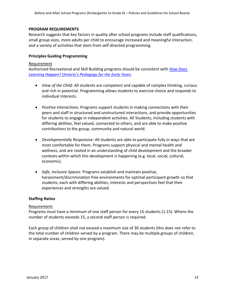### **PROGRAM REQUIREMENTS**

Research suggests that key factors in quality after school programs include staff qualifications, small group sizes, more adults per child to encourage increased and meaningful interaction, and a variety of activities that stem from self-directed programming.

### **Principles Guiding Programming**

#### Requirement

Authorized Recreational and Skill Building programs should be consistent with *[How Does](How%20Does%20Learning%20Happen?%20Ontario’s%20Pedagogy%20for%20the%20Early%20Years)  Learning Happen? Ont[ario's Pedagogy for the Early Years](How%20Does%20Learning%20Happen?%20Ontario’s%20Pedagogy%20for%20the%20Early%20Years)*.

- *View of the Child:* All students are competent and capable of complex thinking, curious and rich in potential. Programming allows students to exercise choice and responds to individual interests.
- *Positive Interactions:* Programs support students in making connections with their peers and staff in structured and unstructured interactions, and provide opportunities for students to engage in independent activities. All Students, including students with differing abilities, feel valued, connected to others, and are able to make positive contributions to the group, community and natural world.
- *Developmentally Responsive:* All students are able to participate fully in ways that are most comfortable for them. Programs support physical and mental health and wellness, and are rooted in an understanding of child development and the broader contexts within which this development is happening (e.g. local, social, cultural, economic).
- *Safe, Inclusive Spaces:* Programs establish and maintain positive, harassment/discrimination free environments for optimal participant growth so that students, each with differing abilities, interests and perspectives feel that their experiences and strengths are valued.

### **Staffing Ratios**

#### Requirement:

Programs must have a minimum of one staff person for every 15 students (1:15). Where the number of students exceeds 15, a second staff person is required.

Each group of children shall not exceed a maximum size of 30 students (this does not refer to the total number of children served by a program. There may be multiple groups of children, in separate areas, served by one program).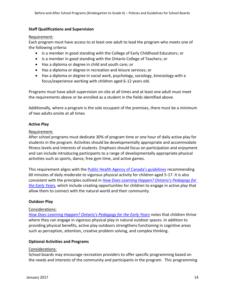### **Staff Qualifications and Supervision**

#### Requirement:

Each program must have access to at least one adult to lead the program who meets one of the following criteria:

- Is a member in good standing with the College of Early Childhood Educators; or
- Is a member in good standing with the Ontario College of Teachers; or
- Has a diploma or degree in child and youth care; or
- Has a diploma or degree in recreation and leisure services; or
- Has a diploma or degree in social work, psychology, sociology, kinesiology with a focus/experience working with children aged 6-12 years old.

Programs must have adult supervision on-site at all times and at least one adult must meet the requirements above or be enrolled as a student in the fields identified above.

Additionally, where a program is the sole occupant of the premises, there must be a minimum of two adults onsite at all times

### **Active Play**

### Requirement:

After school programs must dedicate 30% of program time or one hour of daily active play for students in the program. Activities should be developmentally appropriate and accommodate fitness levels and interests of students. Emphasis should focus on participation and enjoyment and can include introducing participants to a range of developmentally appropriate physical activities such as sports, dance, free gym time, and active games.

This requirement aligns with the [Public Health Agency of Canada's guidelines](http://www.phac-aspc.gc.ca/hp-ps/hl-mvs/pa-ap/03paap-eng.php) recommending 60 minutes of daily moderate to vigorous physical activity for children aged 5-17. It is also consistent with the principles outlined in *[How Does Learning Happen? Ontario's Pedagogy for](http://www.edu.gov.on.ca/childcare/pedagogy.html)  [the Early Years,](http://www.edu.gov.on.ca/childcare/pedagogy.html)* which include creating opportunities for children to engage in active play that allow them to connect with the natural world and their community.

### **Outdoor Play**

### Considerations:

*[How Does Learning Happen? Ontario's Pedagogy for the Early Years](http://www.edu.gov.on.ca/childcare/pedagogy.html)* notes that children thrive where they can engage in vigorous physical play in natural outdoor spaces. In addition to providing physical benefits, active play outdoors strengthens functioning in cognitive areas such as perception, attention, creative problem solving, and complex thinking.

### **Optional Activities and Programs**

### Considerations:

School boards may encourage recreation providers to offer specific programming based on the needs and interests of the community and participants in the program. This programming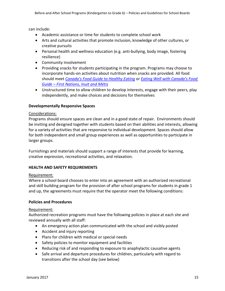can include:

- Academic assistance or time for students to complete school work
- Arts and cultural activities that promote inclusion, knowledge of other cultures, or creative pursuits
- Personal health and wellness education (e.g. anti-bullying, body image, fostering resilience)
- Community involvement
- Providing snacks for students participating in the program. Programs may choose to incorporate hands-on activities about nutrition when snacks are provided. All food should meet *Canada's [Food Guide to Healthy Eating](http://www.hc-sc.gc.ca/fn-an/food-guide-aliment/index-eng.php)* or *[Eating Well with Canada's Food](http://www.hc-sc.gc.ca/fn-an/pubs/fnim-pnim/index-eng.php)  Guide – [First Nations, Inuit and Métis](http://www.hc-sc.gc.ca/fn-an/pubs/fnim-pnim/index-eng.php)*
- Unstructured time to allow children to develop interests, engage with their peers, play independently, and make choices and decisions for themselves

### **Developmentally Responsive Spaces**

### Considerations:

Programs should ensure spaces are clean and in a good state of repair. Environments should be inviting and designed together with students based on their abilities and interests, allowing for a variety of activities that are responsive to individual development. Spaces should allow for both independent and small group experiences as well as opportunities to participate in larger groups.

Furnishings and materials should support a range of interests that provide for learning, creative expression, recreational activities, and relaxation.

### **HEALTH AND SAFETY REQUIREMENTS**

### Requirement:

Where a school board chooses to enter into an agreement with an authorized recreational and skill building program for the provision of after school programs for students in grade 1 and up, the agreements must require that the operator meet the following conditions:

### **Policies and Procedures**

### Requirement:

Authorized recreation programs must have the following policies in place at each site and reviewed annually with all staff:

- An emergency action plan communicated with the school and visibly posted
- Accident and injury reporting
- Plans for children with medical or special needs
- Safety policies to monitor equipment and facilities
- Reducing risk of and responding to exposure to anaphylactic causative agents
- Safe arrival and departure procedures for children, particularly with regard to transitions after the school day (see below)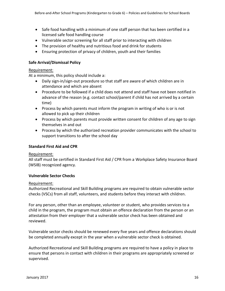- Safe food handling with a minimum of one staff person that has been certified in a licensed safe food handling course
- Vulnerable sector screening for all staff prior to interacting with children
- The provision of healthy and nutritious food and drink for students
- Ensuring protection of privacy of children, youth and their families

### **Safe Arrival/Dismissal Policy**

### Requirement:

At a minimum, this policy should include a:

- Daily sign-in/sign-out procedure so that staff are aware of which children are in attendance and which are absent
- Procedure to be followed if a child does not attend and staff have not been notified in advance of the reason (e.g. contact school/parent if child has not arrived by a certain time)
- Process by which parents must inform the program in writing of who is or is not allowed to pick up their children
- Process by which parents must provide written consent for children of any age to sign themselves in and out
- Process by which the authorized recreation provider communicates with the school to support transitions to after the school day

### **Standard First Aid and CPR**

### Requirement:

All staff must be certified in Standard First Aid / CPR from a Workplace Safety Insurance Board (WSIB) recognized agency.

### **Vulnerable Sector Checks**

### Requirement:

Authorized Recreational and Skill Building programs are required to obtain vulnerable sector checks (VSCs) from all staff, volunteers, and students before they interact with children.

For any person, other than an employee, volunteer or student, who provides services to a child in the program, the program must obtain an offence declaration from the person or an attestation from their employer that a vulnerable sector check has been obtained and reviewed.

Vulnerable sector checks should be renewed every five years and offence declarations should be completed annually except in the year when a vulnerable sector check is obtained.

Authorized Recreational and Skill Building programs are required to have a policy in place to ensure that persons in contact with children in their programs are appropriately screened or supervised.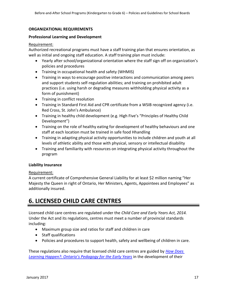### **ORGANIZATIONAL REQUIREMENTS**

#### **Professional Learning and Development**

#### Requirement:

Authorized recreational programs must have a staff training plan that ensures orientation, as well as initial and ongoing staff education. A staff training plan must include:

- Yearly after school/organizational orientation where the staff sign off on organization's policies and procedures
- Training in occupational health and safety (WHMIS)
- Training in ways to encourage positive interactions and communication among peers and support students self-regulation abilities; and training on prohibited adult practices (i.e. using harsh or degrading measures withholding physical activity as a form of punishment)
- Training in conflict resolution
- Training in Standard First Aid and CPR certificate from a WSIB recognized agency (i.e. Red Cross, St. John's Ambulance)
- Training in healthy child development (e.g. High Five's "Principles of Healthy Child Development")
- Training on the role of healthy eating for development of healthy behaviours and one staff at each location must be trained in safe food Hhandling
- Training in adapting physical activity opportunities to include children and youth at all levels of athletic ability and those with physical, sensory or intellectual disability
- Training and familiarity with resources on integrating physical activity throughout the program

### **Liability Insurance**

### Requirement:

A current certificate of Comprehensive General Liability for at least \$2 million naming "Her Majesty the Queen in right of Ontario, Her Ministers, Agents, Appointees and Employees" as additionally insured.

### **6. LICENSED CHILD CARE CENTRES**

Licensed child care centres are regulated under the *Child Care and Early Years Act, 2014.*  Under the Act and its regulations, centres must meet a number of provincial standards including:

- Maximum group size and ratios for staff and children in care
- Staff qualifications
- Policies and procedures to support health, safety and wellbeing of children in care.

These regulations also require that licensed child care centres are guided by *[How Does](http://www.edu.gov.on.ca/childcare/pedagogy.html)  [Learning Happen?: Ontario's Pedagogy for the Early Years](http://www.edu.gov.on.ca/childcare/pedagogy.html)* in the development of their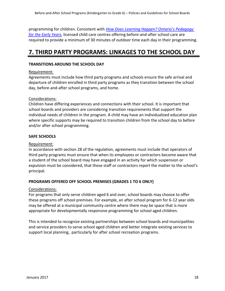programming for children. Consistent with *How Does L[earning Happen? Ontario's Pedagogy](How%20Does%20Learning%20Happen?%20Ontario’s%20Pedagogy%20for%20the%20Early%20Years)  [for the Early Years,](How%20Does%20Learning%20Happen?%20Ontario’s%20Pedagogy%20for%20the%20Early%20Years)* licensed child care centres offering before-and-after school care are required to provide a minimum of 30 minutes of outdoor time each day in their programming.

### **7. THIRD PARTY PROGRAMS: LINKAGES TO THE SCHOOL DAY**

### **TRANSITIONS AROUND THE SCHOOL DAY**

### Requirement:

Agreements must include how third party programs and schools ensure the safe arrival and departure of children enrolled in third party programs as they transition between the school day, before-and-after school programs, and home.

### Considerations:

Children have differing experiences and connections with their school. It is important that school boards and providers are considering transition requirements that support the individual needs of children in the program. A child may have an individualized education plan where specific supports may be required to transition children from the school day to before and/or after school programming.

### **SAFE SCHOOLS**

### Requirement:

In accordance with section 28 of the regulation, agreements must include that operators of third party programs must ensure that when its employees or contractors become aware that a student of the school board may have engaged in an activity for which suspension or expulsion must be considered, that these staff or contractors report the matter to the school's principal.

### **PROGRAMS OFFERED OFF SCHOOL PREMISES (GRADES 1 TO 6 ONLY)**

#### Considerations:

For programs that only serve children aged 6 and over, school boards may choose to offer these programs off school premises. For example, an after school program for 6-12 year olds may be offered at a municipal community centre where there may be space that is more appropriate for developmentally responsive programming for school aged children.

This is intended to recognize existing partnerships between school boards and municipalities and service providers to serve school aged children and better integrate existing services to support local planning, particularly for after school recreation programs.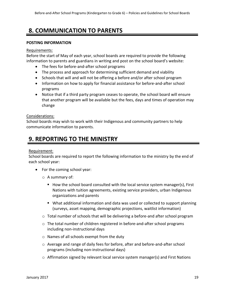### **8. COMMUNICATION TO PARENTS**

### **POSTING INFORMATION**

### Requirements:

Before the start of May of each year, school boards are required to provide the following information to parents and guardians in writing and post on the school board's website:

- The fees for before-and-after school programs
- The process and approach for determining sufficient demand and viability
- Schools that will and will not be offering a before and/or after school program
- Information on how to apply for financial assistance for before-and-after school programs
- Notice that if a third party program ceases to operate, the school board will ensure that another program will be available but the fees, days and times of operation may change

### Considerations:

School boards may wish to work with their Indigenous and community partners to help communicate information to parents.

### **9. REPORTING TO THE MINISTRY**

### Requirement:

School boards are required to report the following information to the ministry by the end of each school year:

- For the coming school year:
	- o A summary of:
		- $\blacksquare$  How the school board consulted with the local service system manager(s), First Nations with tuition agreements, existing service providers, urban Indigenous organizations and parents
		- What additional information and data was used or collected to support planning (surveys, asset mapping, demographic projections, waitlist information)
	- o Total number of schools that will be delivering a before-and after school program
	- o The total number of children registered in before-and-after school programs including non-instructional days
	- o Names of all schools exempt from the duty
	- o Average and range of daily fees for before, after and before-and-after school programs (including non-instructional days)
	- $\circ$  Affirmation signed by relevant local service system manager(s) and First Nations